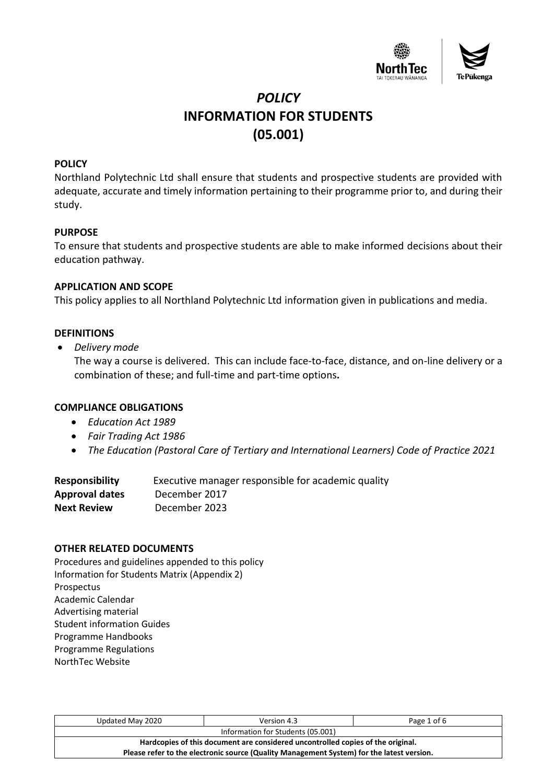

# *POLICY* **INFORMATION FOR STUDENTS (05.001)**

# **POLICY**

Northland Polytechnic Ltd shall ensure that students and prospective students are provided with adequate, accurate and timely information pertaining to their programme prior to, and during their study.

### **PURPOSE**

To ensure that students and prospective students are able to make informed decisions about their education pathway.

### **APPLICATION AND SCOPE**

This policy applies to all Northland Polytechnic Ltd information given in publications and media.

# **DEFINITIONS**

• *Delivery mode*

The way a course is delivered. This can include face-to-face, distance, and on-line delivery or a combination of these; and full-time and part-time options**.**

### **COMPLIANCE OBLIGATIONS**

- *Education Act 1989*
- *Fair Trading Act 1986*
- *The Education (Pastoral Care of Tertiary and International Learners) Code of Practice 2021*

| <b>Responsibility</b> | Executive manager responsible for academic quality |
|-----------------------|----------------------------------------------------|
| Approval dates        | December 2017                                      |
| <b>Next Review</b>    | December 2023                                      |

### **OTHER RELATED DOCUMENTS**

Procedures and guidelines appended to this policy Information for Students Matrix (Appendix 2) Prospectus Academic Calendar Advertising material Student information Guides Programme Handbooks Programme Regulations NorthTec Website

| Updated May 2020                                                                          | Version 4.3 | Page 1 of 6 |  |  |  |  |  |
|-------------------------------------------------------------------------------------------|-------------|-------------|--|--|--|--|--|
| Information for Students (05.001)                                                         |             |             |  |  |  |  |  |
| Hardcopies of this document are considered uncontrolled copies of the original.           |             |             |  |  |  |  |  |
| Please refer to the electronic source (Quality Management System) for the latest version. |             |             |  |  |  |  |  |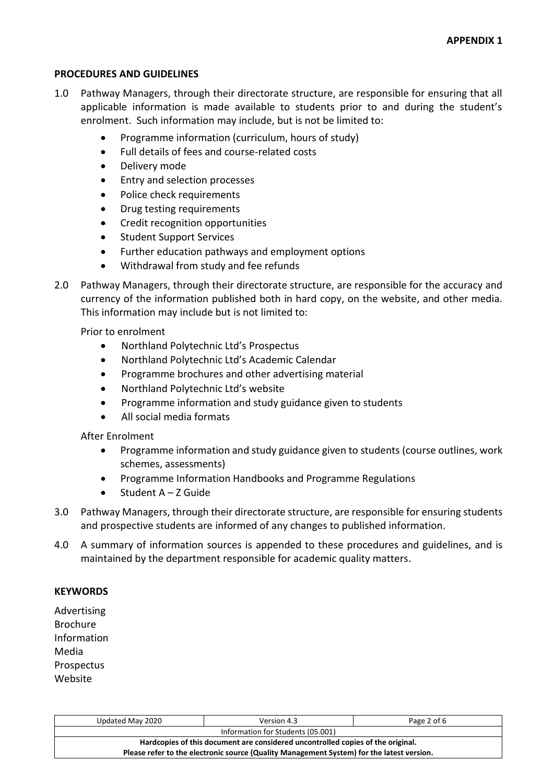#### **PROCEDURES AND GUIDELINES**

- 1.0 Pathway Managers, through their directorate structure, are responsible for ensuring that all applicable information is made available to students prior to and during the student's enrolment. Such information may include, but is not be limited to:
	- Programme information (curriculum, hours of study)
	- Full details of fees and course-related costs
	- Delivery mode
	- Entry and selection processes
	- Police check requirements
	- Drug testing requirements
	- Credit recognition opportunities
	- Student Support Services
	- Further education pathways and employment options
	- Withdrawal from study and fee refunds
- 2.0 Pathway Managers, through their directorate structure, are responsible for the accuracy and currency of the information published both in hard copy, on the website, and other media. This information may include but is not limited to:

Prior to enrolment

- Northland Polytechnic Ltd's Prospectus
- Northland Polytechnic Ltd's Academic Calendar
- Programme brochures and other advertising material
- Northland Polytechnic Ltd's website
- Programme information and study guidance given to students
- All social media formats

After Enrolment

- Programme information and study guidance given to students (course outlines, work schemes, assessments)
- Programme Information Handbooks and Programme Regulations
- $\bullet$  Student A Z Guide
- 3.0 Pathway Managers, through their directorate structure, are responsible for ensuring students and prospective students are informed of any changes to published information.
- 4.0 A summary of information sources is appended to these procedures and guidelines, and is maintained by the department responsible for academic quality matters.

#### **KEYWORDS**

Advertising Brochure Information Media Prospectus Website

| Updated May 2020                                                                          | Version 4.3 | Page 2 of 6 |  |  |  |  |  |
|-------------------------------------------------------------------------------------------|-------------|-------------|--|--|--|--|--|
| Information for Students (05.001)                                                         |             |             |  |  |  |  |  |
| Hardcopies of this document are considered uncontrolled copies of the original.           |             |             |  |  |  |  |  |
| Please refer to the electronic source (Quality Management System) for the latest version. |             |             |  |  |  |  |  |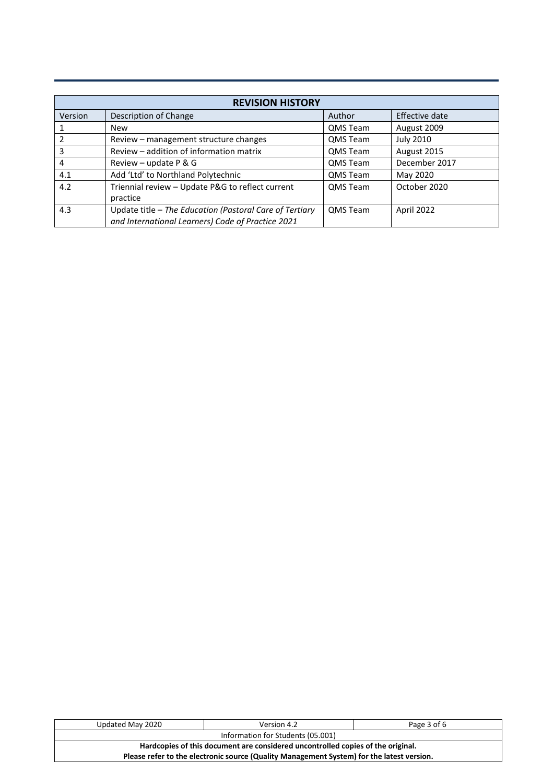| <b>REVISION HISTORY</b> |                                                         |                 |                  |  |  |  |  |  |  |
|-------------------------|---------------------------------------------------------|-----------------|------------------|--|--|--|--|--|--|
| Version                 | Description of Change                                   | Author          | Effective date   |  |  |  |  |  |  |
|                         | New                                                     | QMS Team        | August 2009      |  |  |  |  |  |  |
|                         | Review – management structure changes                   | QMS Team        | <b>July 2010</b> |  |  |  |  |  |  |
| 3                       | Review – addition of information matrix                 | QMS Team        | August 2015      |  |  |  |  |  |  |
| 4                       | Review – update $P$ & G                                 | QMS Team        | December 2017    |  |  |  |  |  |  |
| 4.1                     | Add 'Ltd' to Northland Polytechnic                      | QMS Team        | May 2020         |  |  |  |  |  |  |
| 4.2                     | Triennial review - Update P&G to reflect current        | <b>QMS Team</b> | October 2020     |  |  |  |  |  |  |
|                         | practice                                                |                 |                  |  |  |  |  |  |  |
| 4.3                     | Update title - The Education (Pastoral Care of Tertiary | <b>QMS Team</b> | April 2022       |  |  |  |  |  |  |
|                         | and International Learners) Code of Practice 2021       |                 |                  |  |  |  |  |  |  |

| Updated May 2020                                                                          | Version 4.2 | Page 3 of 6 |  |  |  |  |  |
|-------------------------------------------------------------------------------------------|-------------|-------------|--|--|--|--|--|
| Information for Students (05.001)                                                         |             |             |  |  |  |  |  |
| Hardcopies of this document are considered uncontrolled copies of the original.           |             |             |  |  |  |  |  |
| Please refer to the electronic source (Quality Management System) for the latest version. |             |             |  |  |  |  |  |
|                                                                                           |             |             |  |  |  |  |  |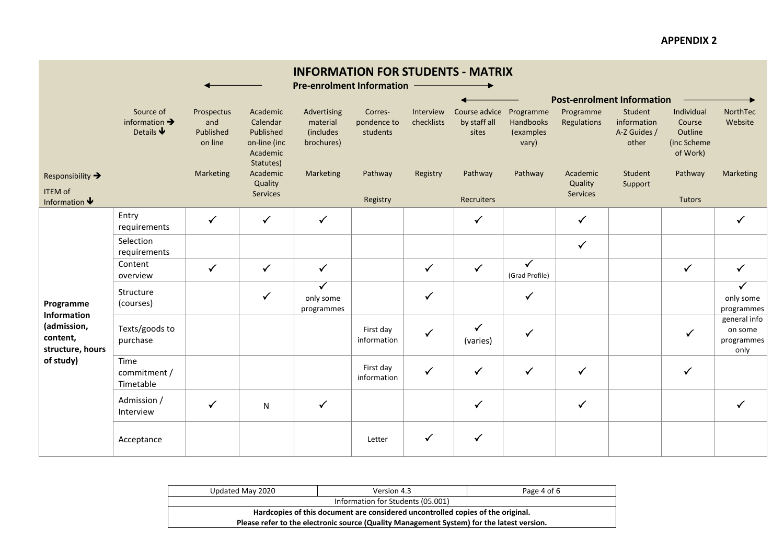# **APPENDIX 2**

|                                                                   |                                                                   |                                           |                                                                            | <b>INFORMATION FOR STUDENTS - MATRIX</b><br><b>Pre-enrolment Information</b> |                                    |                         |                                        |                                              |                                 |                                                 |                                                            |                                               |
|-------------------------------------------------------------------|-------------------------------------------------------------------|-------------------------------------------|----------------------------------------------------------------------------|------------------------------------------------------------------------------|------------------------------------|-------------------------|----------------------------------------|----------------------------------------------|---------------------------------|-------------------------------------------------|------------------------------------------------------------|-----------------------------------------------|
|                                                                   |                                                                   |                                           |                                                                            |                                                                              |                                    |                         |                                        |                                              |                                 | <b>Post-enrolment Information</b>               |                                                            |                                               |
|                                                                   | Source of<br>information $\rightarrow$<br>Details $\blacklozenge$ | Prospectus<br>and<br>Published<br>on line | Academic<br>Calendar<br>Published<br>on-line (inc<br>Academic<br>Statutes) | Advertising<br>material<br><i>(includes)</i><br>brochures)                   | Corres-<br>pondence to<br>students | Interview<br>checklists | Course advice<br>by staff all<br>sites | Programme<br>Handbooks<br>(examples<br>vary) | Programme<br>Regulations        | Student<br>information<br>A-Z Guides /<br>other | Individual<br>Course<br>Outline<br>(inc Scheme<br>of Work) | NorthTec<br>Website                           |
| Responsibility →<br><b>ITEM of</b><br>Information $\blacklozenge$ |                                                                   | Marketing                                 | Academic<br>Quality<br>Services                                            | Marketing                                                                    | Pathway<br>Registry                | Registry                | Pathway<br>Recruiters                  | Pathway                                      | Academic<br>Quality<br>Services | Student<br>Support                              | Pathway<br>Tutors                                          | Marketing                                     |
|                                                                   | Entry<br>requirements                                             | $\checkmark$                              | $\checkmark$                                                               | $\checkmark$                                                                 |                                    |                         | $\checkmark$                           |                                              | $\checkmark$                    |                                                 |                                                            | $\checkmark$                                  |
|                                                                   | Selection<br>requirements                                         |                                           |                                                                            |                                                                              |                                    |                         |                                        |                                              | $\checkmark$                    |                                                 |                                                            |                                               |
|                                                                   | Content<br>overview                                               | $\checkmark$                              | $\checkmark$                                                               | $\checkmark$                                                                 |                                    | $\checkmark$            | $\checkmark$                           | $\checkmark$<br>(Grad Profile)               |                                 |                                                 | $\checkmark$                                               | $\checkmark$                                  |
| Programme                                                         | Structure<br>(courses)                                            |                                           | $\checkmark$                                                               | $\checkmark$<br>only some<br>programmes                                      |                                    | $\checkmark$            |                                        | $\checkmark$                                 |                                 |                                                 |                                                            | $\checkmark$<br>only some<br>programmes       |
| Information<br>(admission,<br>content,<br>structure, hours        | Texts/goods to<br>purchase                                        |                                           |                                                                            |                                                                              | First day<br>information           | $\checkmark$            | $\checkmark$<br>(varies)               | $\checkmark$                                 |                                 |                                                 | $\checkmark$                                               | general info<br>on some<br>programmes<br>only |
| of study)                                                         | Time<br>commitment /<br>Timetable                                 |                                           |                                                                            |                                                                              | First day<br>information           | $\checkmark$            | $\checkmark$                           | $\checkmark$                                 | ✓                               |                                                 | $\checkmark$                                               |                                               |
|                                                                   | Admission /<br>Interview                                          | $\checkmark$                              | N                                                                          | $\checkmark$                                                                 |                                    |                         | $\checkmark$                           |                                              | $\checkmark$                    |                                                 |                                                            | ✓                                             |
|                                                                   | Acceptance                                                        |                                           |                                                                            |                                                                              | Letter                             | ✓                       | $\checkmark$                           |                                              |                                 |                                                 |                                                            |                                               |

| Updated May 2020                                                                          | Version 4.3                       |  |  |  |  |  |  |
|-------------------------------------------------------------------------------------------|-----------------------------------|--|--|--|--|--|--|
|                                                                                           | Information for Students (05.001) |  |  |  |  |  |  |
| Hardcopies of this document are considered uncontrolled copies of the original.           |                                   |  |  |  |  |  |  |
| Please refer to the electronic source (Quality Management System) for the latest version. |                                   |  |  |  |  |  |  |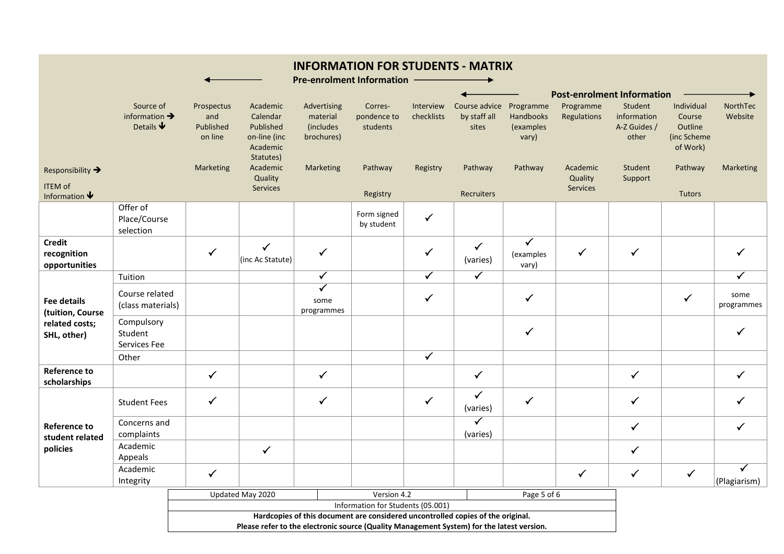|                                               |                                                                   |                                           |                                                                                           | <b>INFORMATION FOR STUDENTS - MATRIX</b><br><b>Pre-enrolment Information</b>    |                                    |                         |                                                  |                                    |                          |                                                 |                                                            |                     |
|-----------------------------------------------|-------------------------------------------------------------------|-------------------------------------------|-------------------------------------------------------------------------------------------|---------------------------------------------------------------------------------|------------------------------------|-------------------------|--------------------------------------------------|------------------------------------|--------------------------|-------------------------------------------------|------------------------------------------------------------|---------------------|
|                                               |                                                                   |                                           |                                                                                           |                                                                                 |                                    |                         |                                                  |                                    |                          | <b>Post-enrolment Information</b>               |                                                            |                     |
|                                               | Source of<br>information $\rightarrow$<br>Details $\blacklozenge$ | Prospectus<br>and<br>Published<br>on line | Academic<br>Calendar<br>Published<br>on-line (inc<br>Academic<br>Statutes)                | Advertising<br>material<br>(includes<br>brochures)                              | Corres-<br>pondence to<br>students | Interview<br>checklists | Course advice Programme<br>by staff all<br>sites | Handbooks<br>(examples<br>vary)    | Programme<br>Regulations | Student<br>information<br>A-Z Guides /<br>other | Individual<br>Course<br>Outline<br>(inc Scheme<br>of Work) | NorthTec<br>Website |
| Responsibility →                              |                                                                   | <b>Marketing</b>                          | Academic                                                                                  | Marketing                                                                       | Pathway                            | Registry                | Pathway                                          | Pathway                            | Academic                 | Student                                         | Pathway                                                    | Marketing           |
| <b>ITEM of</b><br>Information $\blacklozenge$ |                                                                   |                                           | Quality<br>Services                                                                       |                                                                                 | Registry                           |                         | Recruiters                                       |                                    | Quality<br>Services      | Support                                         | Tutors                                                     |                     |
|                                               | Offer of<br>Place/Course<br>selection                             |                                           |                                                                                           |                                                                                 | Form signed<br>by student          | $\checkmark$            |                                                  |                                    |                          |                                                 |                                                            |                     |
| <b>Credit</b><br>recognition<br>opportunities |                                                                   | $\checkmark$                              | $\checkmark$<br>(inc Ac Statute)                                                          | $\checkmark$                                                                    |                                    | ✓                       | $\checkmark$<br>(varies)                         | $\checkmark$<br>(examples<br>vary) | $\checkmark$             | $\checkmark$                                    |                                                            | ✓                   |
|                                               | Tuition                                                           |                                           |                                                                                           | $\overline{\checkmark}$                                                         |                                    | $\overline{\checkmark}$ | $\overline{\checkmark}$                          |                                    |                          |                                                 |                                                            | $\checkmark$        |
| <b>Fee details</b><br>(tuition, Course        | Course related<br>(class materials)                               |                                           |                                                                                           | $\checkmark$<br>some<br>programmes                                              |                                    | $\checkmark$            |                                                  | $\checkmark$                       |                          |                                                 | $\checkmark$                                               | some<br>programmes  |
| related costs;<br>SHL, other)                 | Compulsory<br>Student<br>Services Fee                             |                                           |                                                                                           |                                                                                 |                                    |                         |                                                  | $\checkmark$                       |                          |                                                 |                                                            | ✓                   |
|                                               | Other                                                             |                                           |                                                                                           |                                                                                 |                                    | $\checkmark$            |                                                  |                                    |                          |                                                 |                                                            |                     |
| <b>Reference to</b><br>scholarships           |                                                                   | $\checkmark$                              |                                                                                           | $\checkmark$                                                                    |                                    |                         | $\checkmark$                                     |                                    |                          | $\checkmark$                                    |                                                            | $\checkmark$        |
|                                               | <b>Student Fees</b>                                               | $\checkmark$                              |                                                                                           | $\checkmark$                                                                    |                                    | $\checkmark$            | $\checkmark$<br>(varies)                         | $\checkmark$                       |                          | $\checkmark$                                    |                                                            | ✓                   |
| <b>Reference to</b><br>student related        | Concerns and<br>complaints                                        |                                           |                                                                                           |                                                                                 |                                    |                         | $\overline{\checkmark}$<br>(varies)              |                                    |                          | $\checkmark$                                    |                                                            | $\checkmark$        |
| policies                                      | Academic<br>Appeals                                               |                                           | $\checkmark$                                                                              |                                                                                 |                                    |                         |                                                  |                                    |                          | $\checkmark$                                    |                                                            |                     |
|                                               | Academic<br>Integrity                                             | $\checkmark$                              |                                                                                           |                                                                                 |                                    |                         |                                                  |                                    | $\checkmark$             | $\checkmark$                                    | $\checkmark$                                               | ✓<br>(Plagiarism)   |
|                                               |                                                                   |                                           | Updated May 2020                                                                          |                                                                                 | Version 4.2                        |                         |                                                  | Page 5 of 6                        |                          |                                                 |                                                            |                     |
|                                               |                                                                   |                                           |                                                                                           | Hardcopies of this document are considered uncontrolled copies of the original. | Information for Students (05.001)  |                         |                                                  |                                    |                          |                                                 |                                                            |                     |
|                                               |                                                                   |                                           | Please refer to the electronic source (Quality Management System) for the latest version. |                                                                                 |                                    |                         |                                                  |                                    |                          |                                                 |                                                            |                     |